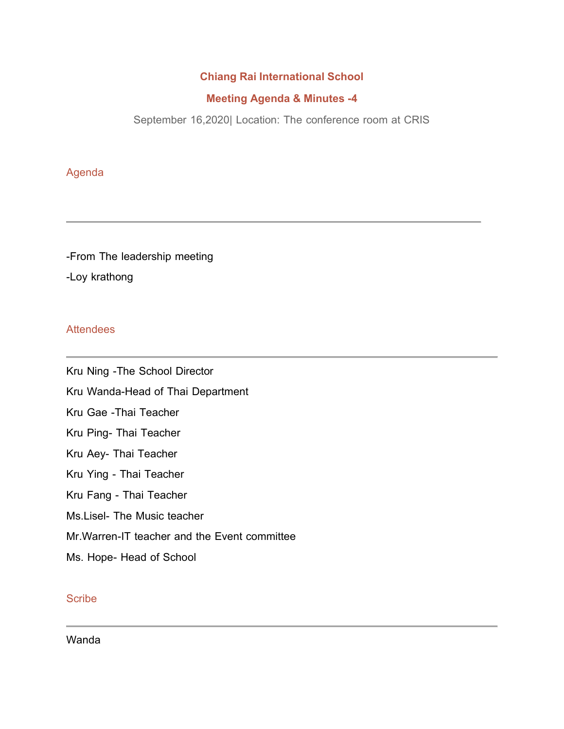### **Chiang Rai International School**

#### **Meeting Agenda & Minutes -4**

September 16,2020| Location: The conference room at CRIS

# Agenda

-From The leadership meeting -Loy krathong

### **Attendees**

Kru Ning -The School Director Kru Wanda-Head of Thai Department Kru Gae -Thai Teacher Kru Ping- Thai Teacher Kru Aey- Thai Teacher Kru Ying - Thai Teacher Kru Fang - Thai Teacher Ms.Lisel- The Music teacher Mr.Warren-IT teacher and the Event committee Ms. Hope- Head of School

## **Scribe**

Wanda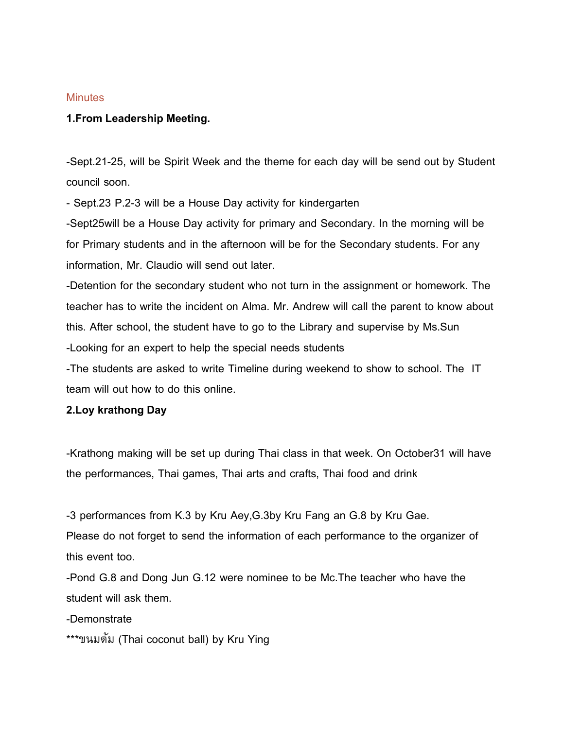#### **Minutes**

#### **1.From Leadership Meeting.**

-Sept.21-25, will be Spirit Week and the theme for each day will be send out by Student council soon.

- Sept.23 P.2-3 will be a House Day activity for kindergarten

-Sept25will be a House Day activity for primary and Secondary. In the morning will be for Primary students and in the afternoon will be for the Secondary students. For any information, Mr. Claudio will send out later.

-Detention for the secondary student who not turn in the assignment or homework. The teacher has to write the incident on Alma. Mr. Andrew will call the parent to know about this. After school, the student have to go to the Library and supervise by Ms.Sun -Looking for an expert to help the special needs students

-The students are asked to write Timeline during weekend to show to school. The IT team will out how to do this online.

#### **2.Loy krathong Day**

-Krathong making will be set up during Thai class in that week. On October31 will have the performances, Thai games, Thai arts and crafts, Thai food and drink

-3 performances from K.3 by Kru Aey,G.3by Kru Fang an G.8 by Kru Gae.

Please do not forget to send the information of each performance to the organizer of this event too.

-Pond G.8 and Dong Jun G.12 were nominee to be Mc.The teacher who have the student will ask them.

-Demonstrate

\*\*\*ขนมต้ม (Thai coconut ball) by Kru Ying